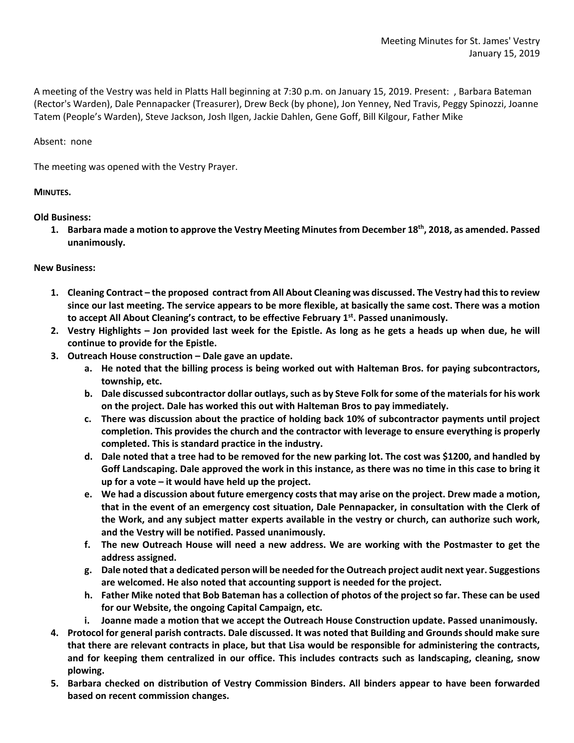A meeting of the Vestry was held in Platts Hall beginning at 7:30 p.m. on January 15, 2019. Present: , Barbara Bateman (Rector's Warden), Dale Pennapacker (Treasurer), Drew Beck (by phone), Jon Yenney, Ned Travis, Peggy Spinozzi, Joanne Tatem (People's Warden), Steve Jackson, Josh Ilgen, Jackie Dahlen, Gene Goff, Bill Kilgour, Father Mike

Absent: none

The meeting was opened with the Vestry Prayer.

## **MINUTES.**

**Old Business:**

**1. Barbara made a motion to approve the Vestry Meeting Minutes from December 18th, 2018, as amended. Passed unanimously.**

## **New Business:**

- **1. Cleaning Contract – the proposed contract from All About Cleaning was discussed. The Vestry had this to review since our last meeting. The service appears to be more flexible, at basically the same cost. There was a motion**  to accept All About Cleaning's contract, to be effective February 1<sup>st</sup>. Passed unanimously.
- **2. Vestry Highlights – Jon provided last week for the Epistle. As long as he gets a heads up when due, he will continue to provide for the Epistle.**
- **3. Outreach House construction – Dale gave an update.** 
	- **a. He noted that the billing process is being worked out with Halteman Bros. for paying subcontractors, township, etc.**
	- **b. Dale discussed subcontractor dollar outlays, such as by Steve Folk for some of the materials for his work on the project. Dale has worked this out with Halteman Bros to pay immediately.**
	- **c. There was discussion about the practice of holding back 10% of subcontractor payments until project completion. This provides the church and the contractor with leverage to ensure everything is properly completed. This is standard practice in the industry.**
	- **d. Dale noted that a tree had to be removed for the new parking lot. The cost was \$1200, and handled by Goff Landscaping. Dale approved the work in this instance, as there was no time in this case to bring it up for a vote – it would have held up the project.**
	- **e. We had a discussion about future emergency costs that may arise on the project. Drew made a motion, that in the event of an emergency cost situation, Dale Pennapacker, in consultation with the Clerk of the Work, and any subject matter experts available in the vestry or church, can authorize such work, and the Vestry will be notified. Passed unanimously.**
	- **f. The new Outreach House will need a new address. We are working with the Postmaster to get the address assigned.**
	- **g. Dale noted that a dedicated person will be needed for the Outreach project audit next year. Suggestions are welcomed. He also noted that accounting support is needed for the project.**
	- **h. Father Mike noted that Bob Bateman has a collection of photos of the project so far. These can be used for our Website, the ongoing Capital Campaign, etc.**
	- **i. Joanne made a motion that we accept the Outreach House Construction update. Passed unanimously.**
- **4. Protocol for general parish contracts. Dale discussed. It was noted that Building and Grounds should make sure that there are relevant contracts in place, but that Lisa would be responsible for administering the contracts, and for keeping them centralized in our office. This includes contracts such as landscaping, cleaning, snow plowing.**
- **5. Barbara checked on distribution of Vestry Commission Binders. All binders appear to have been forwarded based on recent commission changes.**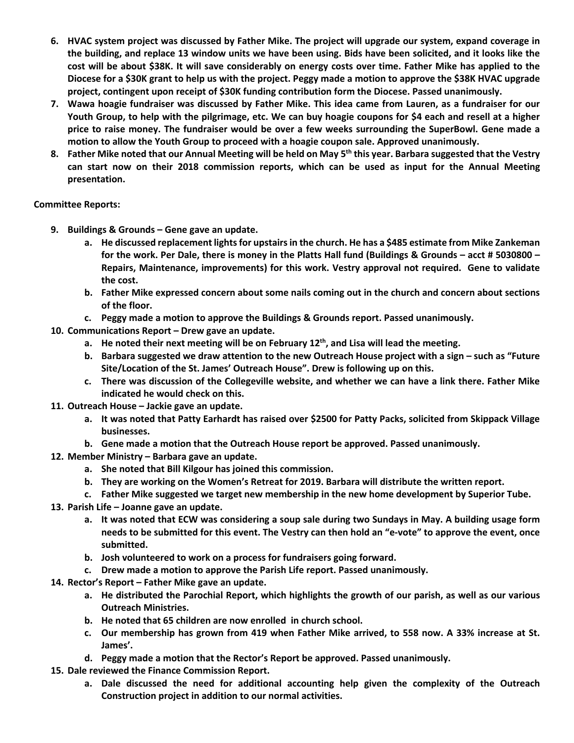- **6. HVAC system project was discussed by Father Mike. The project will upgrade our system, expand coverage in the building, and replace 13 window units we have been using. Bids have been solicited, and it looks like the cost will be about \$38K. It will save considerably on energy costs over time. Father Mike has applied to the Diocese for a \$30K grant to help us with the project. Peggy made a motion to approve the \$38K HVAC upgrade project, contingent upon receipt of \$30K funding contribution form the Diocese. Passed unanimously.**
- **7. Wawa hoagie fundraiser was discussed by Father Mike. This idea came from Lauren, as a fundraiser for our Youth Group, to help with the pilgrimage, etc. We can buy hoagie coupons for \$4 each and resell at a higher price to raise money. The fundraiser would be over a few weeks surrounding the SuperBowl. Gene made a motion to allow the Youth Group to proceed with a hoagie coupon sale. Approved unanimously.**
- **8. Father Mike noted that our Annual Meeting will be held on May 5th this year. Barbara suggested that the Vestry can start now on their 2018 commission reports, which can be used as input for the Annual Meeting presentation.**

## **Committee Reports:**

- **9. Buildings & Grounds – Gene gave an update.** 
	- **a. He discussed replacement lights for upstairs in the church. He has a \$485 estimate from Mike Zankeman for the work. Per Dale, there is money in the Platts Hall fund (Buildings & Grounds – acct # 5030800 – Repairs, Maintenance, improvements) for this work. Vestry approval not required. Gene to validate the cost.**
	- **b. Father Mike expressed concern about some nails coming out in the church and concern about sections of the floor.**
	- **c. Peggy made a motion to approve the Buildings & Grounds report. Passed unanimously.**
- **10. Communications Report – Drew gave an update.**
	- **a. He noted their next meeting will be on February 12th, and Lisa will lead the meeting.**
	- **b. Barbara suggested we draw attention to the new Outreach House project with a sign – such as "Future Site/Location of the St. James' Outreach House". Drew is following up on this.**
	- **c. There was discussion of the Collegeville website, and whether we can have a link there. Father Mike indicated he would check on this.**
- **11. Outreach House – Jackie gave an update.**
	- **a. It was noted that Patty Earhardt has raised over \$2500 for Patty Packs, solicited from Skippack Village businesses.**
	- **b. Gene made a motion that the Outreach House report be approved. Passed unanimously.**
- **12. Member Ministry – Barbara gave an update.**
	- **a. She noted that Bill Kilgour has joined this commission.**
	- **b. They are working on the Women's Retreat for 2019. Barbara will distribute the written report.**
	- **c. Father Mike suggested we target new membership in the new home development by Superior Tube.**
- **13. Parish Life – Joanne gave an update.**
	- **a. It was noted that ECW was considering a soup sale during two Sundays in May. A building usage form needs to be submitted for this event. The Vestry can then hold an "e-vote" to approve the event, once submitted.**
	- **b. Josh volunteered to work on a process for fundraisers going forward.**
	- **c. Drew made a motion to approve the Parish Life report. Passed unanimously.**
- **14. Rector's Report – Father Mike gave an update.**
	- **a. He distributed the Parochial Report, which highlights the growth of our parish, as well as our various Outreach Ministries.**
	- **b. He noted that 65 children are now enrolled in church school.**
	- **c. Our membership has grown from 419 when Father Mike arrived, to 558 now. A 33% increase at St. James'.**
	- **d. Peggy made a motion that the Rector's Report be approved. Passed unanimously.**
- **15. Dale reviewed the Finance Commission Report.**
	- **a. Dale discussed the need for additional accounting help given the complexity of the Outreach Construction project in addition to our normal activities.**